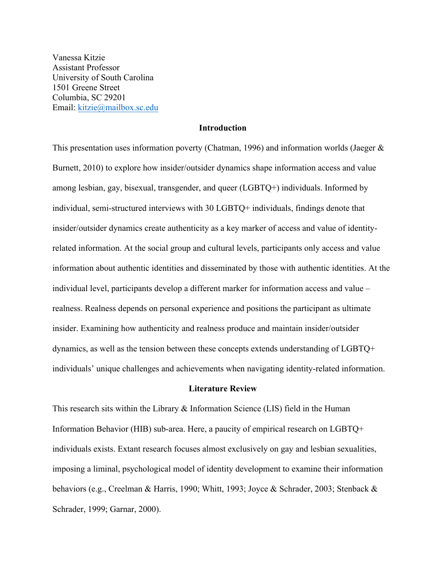Vanessa Kitzie Assistant Professor University of South Carolina 1501 Greene Street Columbia, SC 29201 Email: kitzie@mailbox.sc.edu

# **Introduction**

This presentation uses information poverty (Chatman, 1996) and information worlds (Jaeger & Burnett, 2010) to explore how insider/outsider dynamics shape information access and value among lesbian, gay, bisexual, transgender, and queer (LGBTQ+) individuals. Informed by individual, semi-structured interviews with 30 LGBTQ+ individuals, findings denote that insider/outsider dynamics create authenticity as a key marker of access and value of identityrelated information. At the social group and cultural levels, participants only access and value information about authentic identities and disseminated by those with authentic identities. At the individual level, participants develop a different marker for information access and value – realness. Realness depends on personal experience and positions the participant as ultimate insider. Examining how authenticity and realness produce and maintain insider/outsider dynamics, as well as the tension between these concepts extends understanding of LGBTQ+ individuals' unique challenges and achievements when navigating identity-related information.

# **Literature Review**

This research sits within the Library & Information Science (LIS) field in the Human Information Behavior (HIB) sub-area. Here, a paucity of empirical research on LGBTQ+ individuals exists. Extant research focuses almost exclusively on gay and lesbian sexualities, imposing a liminal, psychological model of identity development to examine their information behaviors (e.g., Creelman & Harris, 1990; Whitt, 1993; Joyce & Schrader, 2003; Stenback & Schrader, 1999; Garnar, 2000).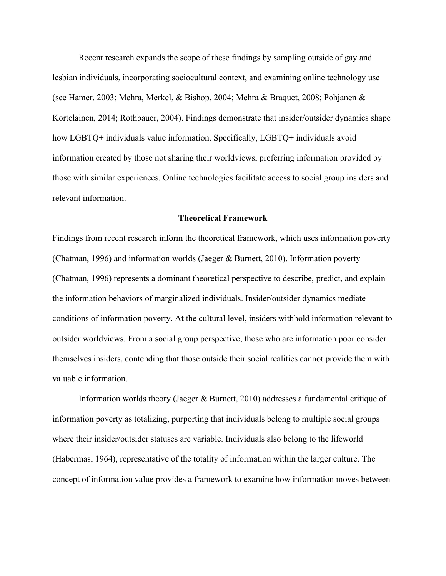Recent research expands the scope of these findings by sampling outside of gay and lesbian individuals, incorporating sociocultural context, and examining online technology use (see Hamer, 2003; Mehra, Merkel, & Bishop, 2004; Mehra & Braquet, 2008; Pohjanen & Kortelainen, 2014; Rothbauer, 2004). Findings demonstrate that insider/outsider dynamics shape how LGBTQ+ individuals value information. Specifically, LGBTQ+ individuals avoid information created by those not sharing their worldviews, preferring information provided by those with similar experiences. Online technologies facilitate access to social group insiders and relevant information.

#### **Theoretical Framework**

Findings from recent research inform the theoretical framework, which uses information poverty (Chatman, 1996) and information worlds (Jaeger & Burnett, 2010). Information poverty (Chatman, 1996) represents a dominant theoretical perspective to describe, predict, and explain the information behaviors of marginalized individuals. Insider/outsider dynamics mediate conditions of information poverty. At the cultural level, insiders withhold information relevant to outsider worldviews. From a social group perspective, those who are information poor consider themselves insiders, contending that those outside their social realities cannot provide them with valuable information.

Information worlds theory (Jaeger & Burnett, 2010) addresses a fundamental critique of information poverty as totalizing, purporting that individuals belong to multiple social groups where their insider/outsider statuses are variable. Individuals also belong to the lifeworld (Habermas, 1964), representative of the totality of information within the larger culture. The concept of information value provides a framework to examine how information moves between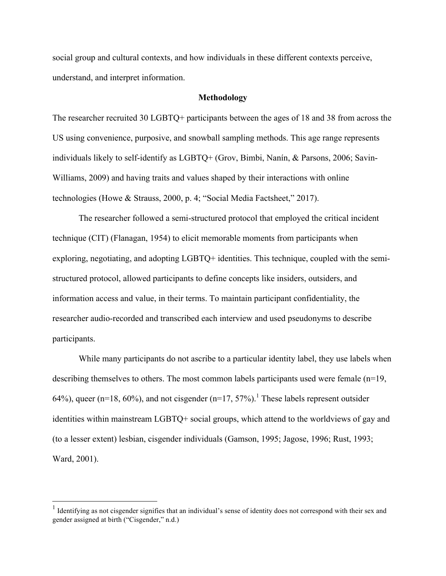social group and cultural contexts, and how individuals in these different contexts perceive, understand, and interpret information.

# **Methodology**

The researcher recruited 30 LGBTQ+ participants between the ages of 18 and 38 from across the US using convenience, purposive, and snowball sampling methods. This age range represents individuals likely to self-identify as LGBTQ+ (Grov, Bimbi, Nanín, & Parsons, 2006; Savin-Williams, 2009) and having traits and values shaped by their interactions with online technologies (Howe & Strauss, 2000, p. 4; "Social Media Factsheet," 2017).

The researcher followed a semi-structured protocol that employed the critical incident technique (CIT) (Flanagan, 1954) to elicit memorable moments from participants when exploring, negotiating, and adopting LGBTQ+ identities. This technique, coupled with the semistructured protocol, allowed participants to define concepts like insiders, outsiders, and information access and value, in their terms. To maintain participant confidentiality, the researcher audio-recorded and transcribed each interview and used pseudonyms to describe participants.

While many participants do not ascribe to a particular identity label, they use labels when describing themselves to others. The most common labels participants used were female (n=19, 64%), queer (n=18, 60%), and not cisgender (n=17, 57%).<sup>1</sup> These labels represent outsider identities within mainstream LGBTQ+ social groups, which attend to the worldviews of gay and (to a lesser extent) lesbian, cisgender individuals (Gamson, 1995; Jagose, 1996; Rust, 1993; Ward, 2001).

 $<sup>1</sup>$  Identifying as not cisgender signifies that an individual's sense of identity does not correspond with their sex and</sup> gender assigned at birth ("Cisgender," n.d.)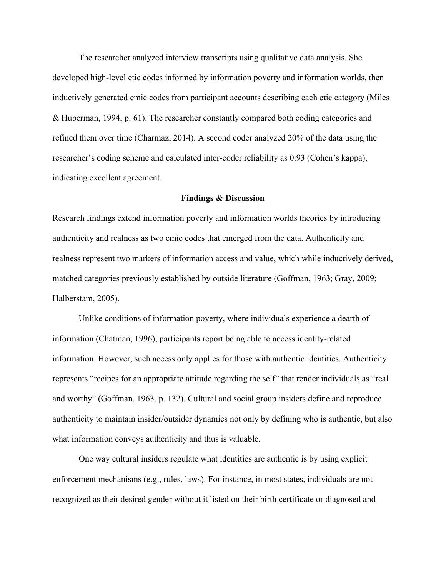The researcher analyzed interview transcripts using qualitative data analysis. She developed high-level etic codes informed by information poverty and information worlds, then inductively generated emic codes from participant accounts describing each etic category (Miles & Huberman, 1994, p. 61). The researcher constantly compared both coding categories and refined them over time (Charmaz, 2014). A second coder analyzed 20% of the data using the researcher's coding scheme and calculated inter-coder reliability as 0.93 (Cohen's kappa), indicating excellent agreement.

# **Findings & Discussion**

Research findings extend information poverty and information worlds theories by introducing authenticity and realness as two emic codes that emerged from the data. Authenticity and realness represent two markers of information access and value, which while inductively derived, matched categories previously established by outside literature (Goffman, 1963; Gray, 2009; Halberstam, 2005).

Unlike conditions of information poverty, where individuals experience a dearth of information (Chatman, 1996), participants report being able to access identity-related information. However, such access only applies for those with authentic identities. Authenticity represents "recipes for an appropriate attitude regarding the self" that render individuals as "real and worthy" (Goffman, 1963, p. 132). Cultural and social group insiders define and reproduce authenticity to maintain insider/outsider dynamics not only by defining who is authentic, but also what information conveys authenticity and thus is valuable.

One way cultural insiders regulate what identities are authentic is by using explicit enforcement mechanisms (e.g., rules, laws). For instance, in most states, individuals are not recognized as their desired gender without it listed on their birth certificate or diagnosed and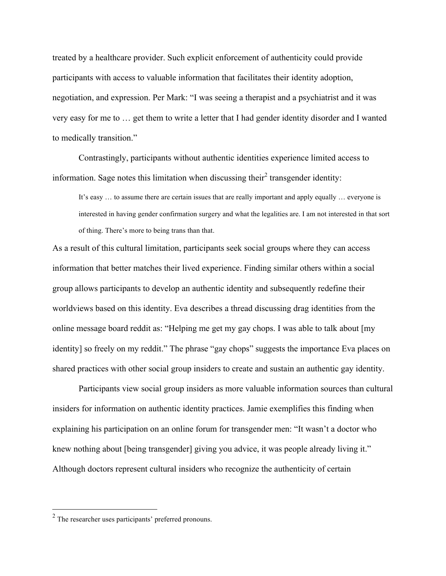treated by a healthcare provider. Such explicit enforcement of authenticity could provide participants with access to valuable information that facilitates their identity adoption, negotiation, and expression. Per Mark: "I was seeing a therapist and a psychiatrist and it was very easy for me to … get them to write a letter that I had gender identity disorder and I wanted to medically transition."

Contrastingly, participants without authentic identities experience limited access to information. Sage notes this limitation when discussing their<sup>2</sup> transgender identity:

It's easy … to assume there are certain issues that are really important and apply equally … everyone is interested in having gender confirmation surgery and what the legalities are. I am not interested in that sort of thing. There's more to being trans than that.

As a result of this cultural limitation, participants seek social groups where they can access information that better matches their lived experience. Finding similar others within a social group allows participants to develop an authentic identity and subsequently redefine their worldviews based on this identity. Eva describes a thread discussing drag identities from the online message board reddit as: "Helping me get my gay chops. I was able to talk about [my identity] so freely on my reddit." The phrase "gay chops" suggests the importance Eva places on shared practices with other social group insiders to create and sustain an authentic gay identity.

Participants view social group insiders as more valuable information sources than cultural insiders for information on authentic identity practices. Jamie exemplifies this finding when explaining his participation on an online forum for transgender men: "It wasn't a doctor who knew nothing about [being transgender] giving you advice, it was people already living it." Although doctors represent cultural insiders who recognize the authenticity of certain

 <sup>2</sup> The researcher uses participants' preferred pronouns.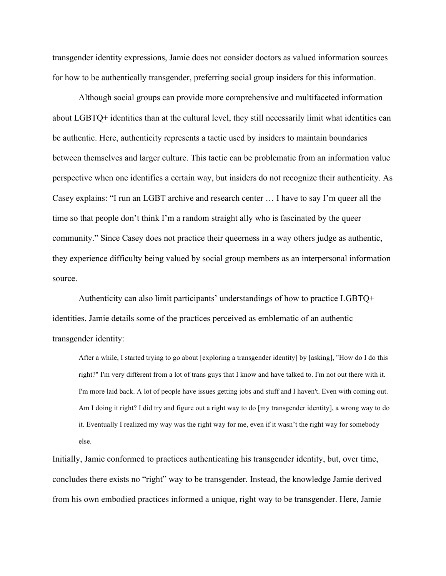transgender identity expressions, Jamie does not consider doctors as valued information sources for how to be authentically transgender, preferring social group insiders for this information.

Although social groups can provide more comprehensive and multifaceted information about LGBTQ+ identities than at the cultural level, they still necessarily limit what identities can be authentic. Here, authenticity represents a tactic used by insiders to maintain boundaries between themselves and larger culture. This tactic can be problematic from an information value perspective when one identifies a certain way, but insiders do not recognize their authenticity. As Casey explains: "I run an LGBT archive and research center … I have to say I'm queer all the time so that people don't think I'm a random straight ally who is fascinated by the queer community." Since Casey does not practice their queerness in a way others judge as authentic, they experience difficulty being valued by social group members as an interpersonal information source.

Authenticity can also limit participants' understandings of how to practice LGBTQ+ identities. Jamie details some of the practices perceived as emblematic of an authentic transgender identity:

After a while, I started trying to go about [exploring a transgender identity] by [asking], "How do I do this right?" I'm very different from a lot of trans guys that I know and have talked to. I'm not out there with it. I'm more laid back. A lot of people have issues getting jobs and stuff and I haven't. Even with coming out. Am I doing it right? I did try and figure out a right way to do [my transgender identity], a wrong way to do it. Eventually I realized my way was the right way for me, even if it wasn't the right way for somebody else.

Initially, Jamie conformed to practices authenticating his transgender identity, but, over time, concludes there exists no "right" way to be transgender. Instead, the knowledge Jamie derived from his own embodied practices informed a unique, right way to be transgender. Here, Jamie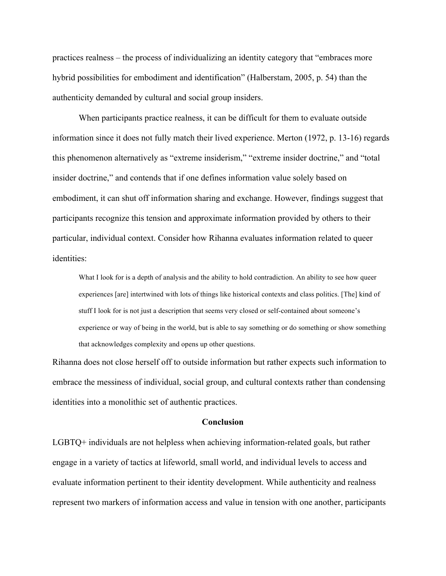practices realness – the process of individualizing an identity category that "embraces more hybrid possibilities for embodiment and identification" (Halberstam, 2005, p. 54) than the authenticity demanded by cultural and social group insiders.

When participants practice realness, it can be difficult for them to evaluate outside information since it does not fully match their lived experience. Merton (1972, p. 13-16) regards this phenomenon alternatively as "extreme insiderism," "extreme insider doctrine," and "total insider doctrine," and contends that if one defines information value solely based on embodiment, it can shut off information sharing and exchange. However, findings suggest that participants recognize this tension and approximate information provided by others to their particular, individual context. Consider how Rihanna evaluates information related to queer identities:

What I look for is a depth of analysis and the ability to hold contradiction. An ability to see how queer experiences [are] intertwined with lots of things like historical contexts and class politics. [The] kind of stuff I look for is not just a description that seems very closed or self-contained about someone's experience or way of being in the world, but is able to say something or do something or show something that acknowledges complexity and opens up other questions.

Rihanna does not close herself off to outside information but rather expects such information to embrace the messiness of individual, social group, and cultural contexts rather than condensing identities into a monolithic set of authentic practices.

#### **Conclusion**

LGBTQ+ individuals are not helpless when achieving information-related goals, but rather engage in a variety of tactics at lifeworld, small world, and individual levels to access and evaluate information pertinent to their identity development. While authenticity and realness represent two markers of information access and value in tension with one another, participants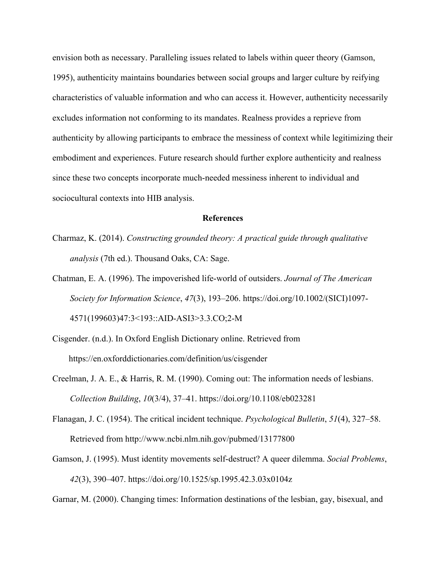envision both as necessary. Paralleling issues related to labels within queer theory (Gamson, 1995), authenticity maintains boundaries between social groups and larger culture by reifying characteristics of valuable information and who can access it. However, authenticity necessarily excludes information not conforming to its mandates. Realness provides a reprieve from authenticity by allowing participants to embrace the messiness of context while legitimizing their embodiment and experiences. Future research should further explore authenticity and realness since these two concepts incorporate much-needed messiness inherent to individual and sociocultural contexts into HIB analysis.

# **References**

- Charmaz, K. (2014). *Constructing grounded theory: A practical guide through qualitative analysis* (7th ed.). Thousand Oaks, CA: Sage.
- Chatman, E. A. (1996). The impoverished life-world of outsiders. *Journal of The American Society for Information Science*, *47*(3), 193–206. https://doi.org/10.1002/(SICI)1097- 4571(199603)47:3<193::AID-ASI3>3.3.CO;2-M
- Cisgender. (n.d.). In Oxford English Dictionary online. Retrieved from https://en.oxforddictionaries.com/definition/us/cisgender
- Creelman, J. A. E., & Harris, R. M. (1990). Coming out: The information needs of lesbians. *Collection Building*, *10*(3/4), 37–41. https://doi.org/10.1108/eb023281
- Flanagan, J. C. (1954). The critical incident technique. *Psychological Bulletin*, *51*(4), 327–58. Retrieved from http://www.ncbi.nlm.nih.gov/pubmed/13177800
- Gamson, J. (1995). Must identity movements self-destruct? A queer dilemma. *Social Problems*, *42*(3), 390–407. https://doi.org/10.1525/sp.1995.42.3.03x0104z

Garnar, M. (2000). Changing times: Information destinations of the lesbian, gay, bisexual, and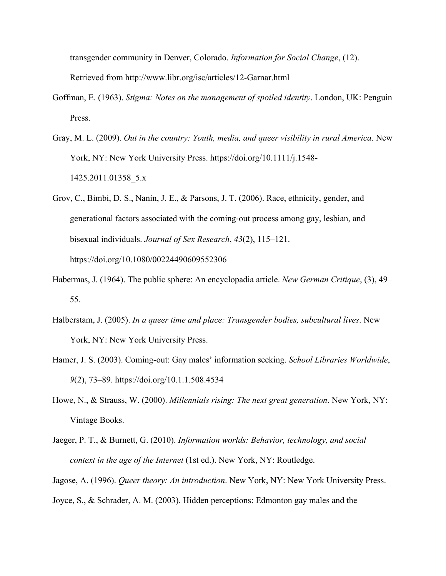transgender community in Denver, Colorado. *Information for Social Change*, (12). Retrieved from http://www.libr.org/isc/articles/12-Garnar.html

- Goffman, E. (1963). *Stigma: Notes on the management of spoiled identity*. London, UK: Penguin Press.
- Gray, M. L. (2009). *Out in the country: Youth, media, and queer visibility in rural America*. New York, NY: New York University Press. https://doi.org/10.1111/j.1548- 1425.2011.01358\_5.x
- Grov, C., Bimbi, D. S., Nanín, J. E., & Parsons, J. T. (2006). Race, ethnicity, gender, and generational factors associated with the coming-out process among gay, lesbian, and bisexual individuals. *Journal of Sex Research*, *43*(2), 115–121. https://doi.org/10.1080/00224490609552306
- Habermas, J. (1964). The public sphere: An encyclopadia article. *New German Critique*, (3), 49– 55.
- Halberstam, J. (2005). *In a queer time and place: Transgender bodies, subcultural lives*. New York, NY: New York University Press.
- Hamer, J. S. (2003). Coming-out: Gay males' information seeking. *School Libraries Worldwide*, *9*(2), 73–89. https://doi.org/10.1.1.508.4534
- Howe, N., & Strauss, W. (2000). *Millennials rising: The next great generation*. New York, NY: Vintage Books.
- Jaeger, P. T., & Burnett, G. (2010). *Information worlds: Behavior, technology, and social context in the age of the Internet* (1st ed.). New York, NY: Routledge.

Jagose, A. (1996). *Queer theory: An introduction*. New York, NY: New York University Press. Joyce, S., & Schrader, A. M. (2003). Hidden perceptions: Edmonton gay males and the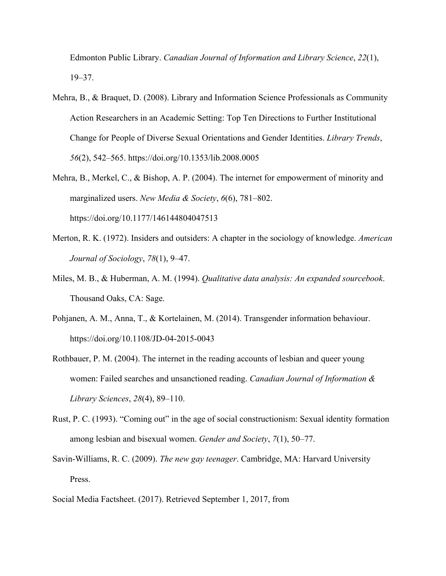Edmonton Public Library. *Canadian Journal of Information and Library Science*, *22*(1), 19–37.

- Mehra, B., & Braquet, D. (2008). Library and Information Science Professionals as Community Action Researchers in an Academic Setting: Top Ten Directions to Further Institutional Change for People of Diverse Sexual Orientations and Gender Identities. *Library Trends*, *56*(2), 542–565. https://doi.org/10.1353/lib.2008.0005
- Mehra, B., Merkel, C., & Bishop, A. P. (2004). The internet for empowerment of minority and marginalized users. *New Media & Society*, *6*(6), 781–802. https://doi.org/10.1177/146144804047513
- Merton, R. K. (1972). Insiders and outsiders: A chapter in the sociology of knowledge. *American Journal of Sociology*, *78*(1), 9–47.
- Miles, M. B., & Huberman, A. M. (1994). *Qualitative data analysis: An expanded sourcebook*. Thousand Oaks, CA: Sage.
- Pohjanen, A. M., Anna, T., & Kortelainen, M. (2014). Transgender information behaviour. https://doi.org/10.1108/JD-04-2015-0043
- Rothbauer, P. M. (2004). The internet in the reading accounts of lesbian and queer young women: Failed searches and unsanctioned reading. *Canadian Journal of Information & Library Sciences*, *28*(4), 89–110.
- Rust, P. C. (1993). "Coming out" in the age of social constructionism: Sexual identity formation among lesbian and bisexual women. *Gender and Society*, *7*(1), 50–77.
- Savin-Williams, R. C. (2009). *The new gay teenager*. Cambridge, MA: Harvard University Press.
- Social Media Factsheet. (2017). Retrieved September 1, 2017, from